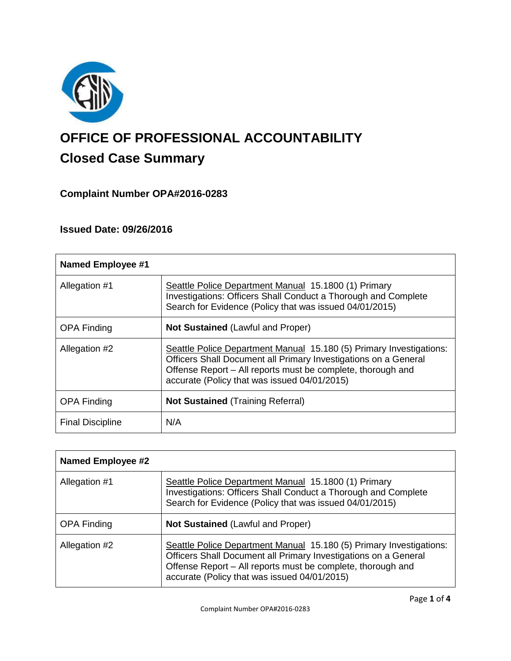

# **OFFICE OF PROFESSIONAL ACCOUNTABILITY Closed Case Summary**

# **Complaint Number OPA#2016-0283**

# **Issued Date: 09/26/2016**

| <b>Named Employee #1</b> |                                                                                                                                                                                                                                                       |  |
|--------------------------|-------------------------------------------------------------------------------------------------------------------------------------------------------------------------------------------------------------------------------------------------------|--|
| Allegation #1            | Seattle Police Department Manual 15.1800 (1) Primary<br><b>Investigations: Officers Shall Conduct a Thorough and Complete</b><br>Search for Evidence (Policy that was issued 04/01/2015)                                                              |  |
| <b>OPA Finding</b>       | <b>Not Sustained (Lawful and Proper)</b>                                                                                                                                                                                                              |  |
| Allegation #2            | Seattle Police Department Manual 15.180 (5) Primary Investigations:<br>Officers Shall Document all Primary Investigations on a General<br>Offense Report – All reports must be complete, thorough and<br>accurate (Policy that was issued 04/01/2015) |  |
| <b>OPA Finding</b>       | <b>Not Sustained (Training Referral)</b>                                                                                                                                                                                                              |  |
| <b>Final Discipline</b>  | N/A                                                                                                                                                                                                                                                   |  |

| <b>Named Employee #2</b> |                                                                                                                                                                                                                                                       |
|--------------------------|-------------------------------------------------------------------------------------------------------------------------------------------------------------------------------------------------------------------------------------------------------|
| Allegation #1            | Seattle Police Department Manual 15.1800 (1) Primary<br>Investigations: Officers Shall Conduct a Thorough and Complete<br>Search for Evidence (Policy that was issued 04/01/2015)                                                                     |
| <b>OPA Finding</b>       | <b>Not Sustained (Lawful and Proper)</b>                                                                                                                                                                                                              |
| Allegation #2            | Seattle Police Department Manual 15.180 (5) Primary Investigations:<br>Officers Shall Document all Primary Investigations on a General<br>Offense Report - All reports must be complete, thorough and<br>accurate (Policy that was issued 04/01/2015) |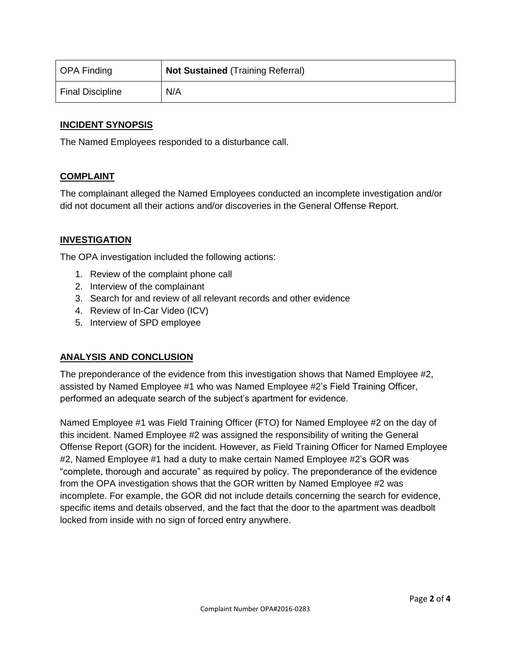| OPA Finding             | <b>Not Sustained (Training Referral)</b> |
|-------------------------|------------------------------------------|
| <b>Final Discipline</b> | N/A                                      |

# **INCIDENT SYNOPSIS**

The Named Employees responded to a disturbance call.

# **COMPLAINT**

The complainant alleged the Named Employees conducted an incomplete investigation and/or did not document all their actions and/or discoveries in the General Offense Report.

# **INVESTIGATION**

The OPA investigation included the following actions:

- 1. Review of the complaint phone call
- 2. Interview of the complainant
- 3. Search for and review of all relevant records and other evidence
- 4. Review of In-Car Video (ICV)
- 5. Interview of SPD employee

# **ANALYSIS AND CONCLUSION**

The preponderance of the evidence from this investigation shows that Named Employee #2, assisted by Named Employee #1 who was Named Employee #2's Field Training Officer, performed an adequate search of the subject's apartment for evidence.

Named Employee #1 was Field Training Officer (FTO) for Named Employee #2 on the day of this incident. Named Employee #2 was assigned the responsibility of writing the General Offense Report (GOR) for the incident. However, as Field Training Officer for Named Employee #2, Named Employee #1 had a duty to make certain Named Employee #2's GOR was "complete, thorough and accurate" as required by policy. The preponderance of the evidence from the OPA investigation shows that the GOR written by Named Employee #2 was incomplete. For example, the GOR did not include details concerning the search for evidence, specific items and details observed, and the fact that the door to the apartment was deadbolt locked from inside with no sign of forced entry anywhere.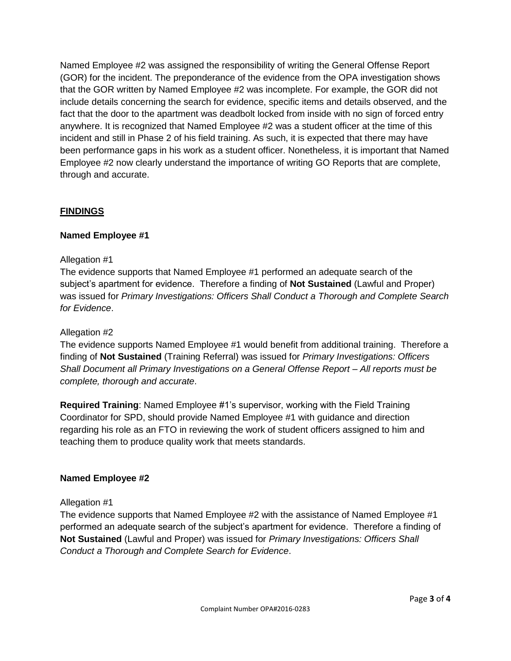Named Employee #2 was assigned the responsibility of writing the General Offense Report (GOR) for the incident. The preponderance of the evidence from the OPA investigation shows that the GOR written by Named Employee #2 was incomplete. For example, the GOR did not include details concerning the search for evidence, specific items and details observed, and the fact that the door to the apartment was deadbolt locked from inside with no sign of forced entry anywhere. It is recognized that Named Employee #2 was a student officer at the time of this incident and still in Phase 2 of his field training. As such, it is expected that there may have been performance gaps in his work as a student officer. Nonetheless, it is important that Named Employee #2 now clearly understand the importance of writing GO Reports that are complete, through and accurate.

# **FINDINGS**

# **Named Employee #1**

# Allegation #1

The evidence supports that Named Employee #1 performed an adequate search of the subject's apartment for evidence. Therefore a finding of **Not Sustained** (Lawful and Proper) was issued for *Primary Investigations: Officers Shall Conduct a Thorough and Complete Search for Evidence*.

# Allegation #2

The evidence supports Named Employee #1 would benefit from additional training. Therefore a finding of **Not Sustained** (Training Referral) was issued for *Primary Investigations: Officers Shall Document all Primary Investigations on a General Offense Report – All reports must be complete, thorough and accurate*.

**Required Training**: Named Employee #1's supervisor, working with the Field Training Coordinator for SPD, should provide Named Employee #1 with guidance and direction regarding his role as an FTO in reviewing the work of student officers assigned to him and teaching them to produce quality work that meets standards.

# **Named Employee #2**

# Allegation #1

The evidence supports that Named Employee #2 with the assistance of Named Employee #1 performed an adequate search of the subject's apartment for evidence. Therefore a finding of **Not Sustained** (Lawful and Proper) was issued for *Primary Investigations: Officers Shall Conduct a Thorough and Complete Search for Evidence*.